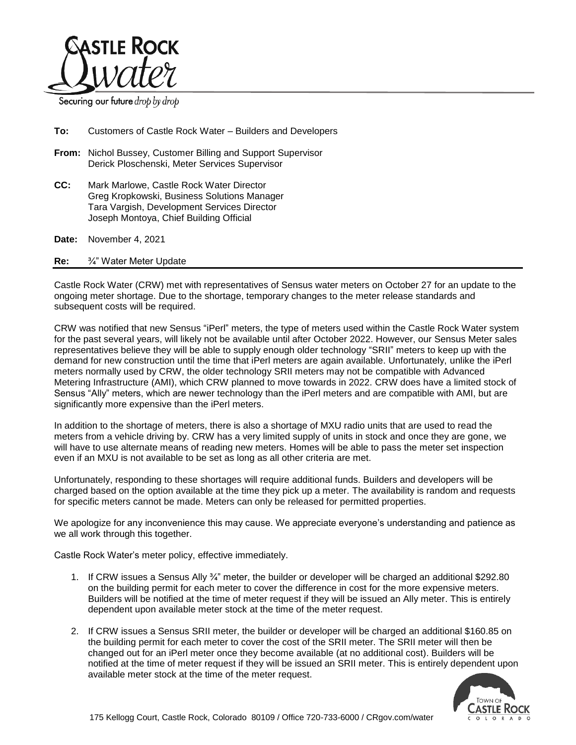

Securing our future drop by drop

**To:** Customers of Castle Rock Water – Builders and Developers

- **From:** Nichol Bussey, Customer Billing and Support Supervisor Derick Ploschenski, Meter Services Supervisor
- **CC:** Mark Marlowe, Castle Rock Water Director Greg Kropkowski, Business Solutions Manager Tara Vargish, Development Services Director Joseph Montoya, Chief Building Official

**Date:** November 4, 2021

**Re:** ¾" Water Meter Update

Castle Rock Water (CRW) met with representatives of Sensus water meters on October 27 for an update to the ongoing meter shortage. Due to the shortage, temporary changes to the meter release standards and subsequent costs will be required.

CRW was notified that new Sensus "iPerl" meters, the type of meters used within the Castle Rock Water system for the past several years, will likely not be available until after October 2022. However, our Sensus Meter sales representatives believe they will be able to supply enough older technology "SRII" meters to keep up with the demand for new construction until the time that iPerl meters are again available. Unfortunately, unlike the iPerl meters normally used by CRW, the older technology SRII meters may not be compatible with Advanced Metering Infrastructure (AMI), which CRW planned to move towards in 2022. CRW does have a limited stock of Sensus "Ally" meters, which are newer technology than the iPerl meters and are compatible with AMI, but are significantly more expensive than the iPerl meters.

In addition to the shortage of meters, there is also a shortage of MXU radio units that are used to read the meters from a vehicle driving by. CRW has a very limited supply of units in stock and once they are gone, we will have to use alternate means of reading new meters. Homes will be able to pass the meter set inspection even if an MXU is not available to be set as long as all other criteria are met.

Unfortunately, responding to these shortages will require additional funds. Builders and developers will be charged based on the option available at the time they pick up a meter. The availability is random and requests for specific meters cannot be made. Meters can only be released for permitted properties.

We apologize for any inconvenience this may cause. We appreciate everyone's understanding and patience as we all work through this together.

Castle Rock Water's meter policy, effective immediately.

- 1. If CRW issues a Sensus Ally ¾" meter, the builder or developer will be charged an additional \$292.80 on the building permit for each meter to cover the difference in cost for the more expensive meters. Builders will be notified at the time of meter request if they will be issued an Ally meter. This is entirely dependent upon available meter stock at the time of the meter request.
- 2. If CRW issues a Sensus SRII meter, the builder or developer will be charged an additional \$160.85 on the building permit for each meter to cover the cost of the SRII meter. The SRII meter will then be changed out for an iPerl meter once they become available (at no additional cost). Builders will be notified at the time of meter request if they will be issued an SRII meter. This is entirely dependent upon available meter stock at the time of the meter request.